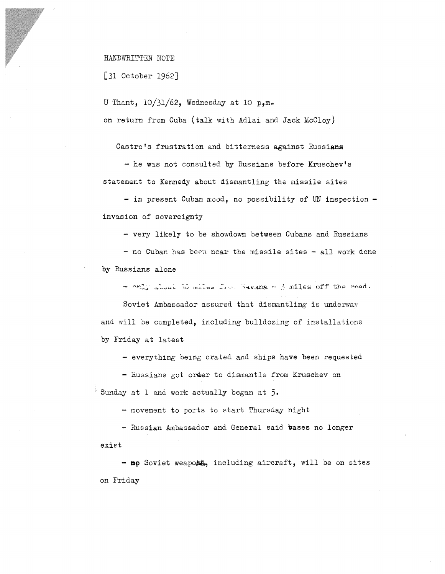HANDWRITTEN NOTE

[31 October 1962]

U Thant,  $10/31/62$ , Wednesday at 10 p, m. on return from Cuba (talk with Adlai and Jack McCloy)

Castro's frustration and bitterness against Russians

- he was not consulted by Russians before Kruschev's statement to Kennedy about dismantling the missile sites

- in present Cuban mood, no possibility of UN inspection invasion of sovereignty

- very likely to be showdown between Cubans and Russians

 $-$  no Cuban has been near the missile sites  $-$  all work done by Russians alone

, ....,.. **oo.n.,J** *u t.1* 1V H1 L **.l 0** '-'")

Soviet Ambassador assured that dismantling is underway and will be completed, including bulldozing of installations by Friday at latest

- everything being crated and ships have been requested

- Russians got order to dismantle from Kruschev on  $\mathbb{R}$  Sunday at 1 and work actually began at 5.

- movement to ports to start Thursday night

- Russian Ambassador and General said bases no longer exist

- no Soviet weapoxt, including aircraft, will be on sites on Friday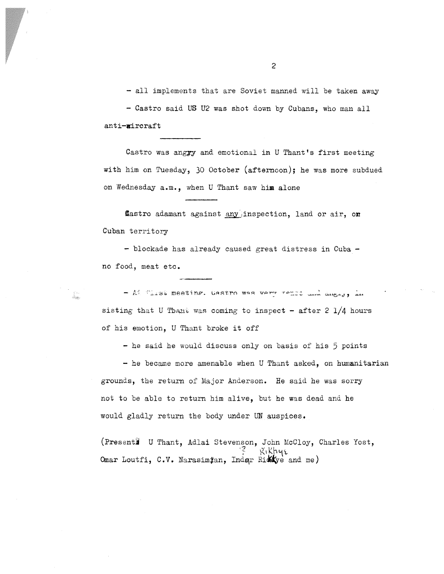- all implements that are Soviet manned will be taken away - Castro said US U2 was shot down by Cubans, who man all anti-aircraft

Castro was angyy and emotional in U Thant's first meeting with him on Tuesday, 30 October (afternoon); he was more subdued on Wednesday a.m., when U Thant saw him alone

flastro adamant against any inspection, land or air, on Cuban territory

- blockade has already caused great distress in Cuba no food, meat etc.

- At Tirst meeting. Castro was very rence and dogsy, in sisting that U Thant was coming to inspect - after 2  $1/4$  hours of his emotion, U Thant broke it off

- he said he would discuss only on basis of his 5 points

- he became more amenable when U Thant asked, on humanitarian grounds, the return of Major Anderson. He said he was sorry not to be able to return him alive, but he was dead and he would gladly return the body under UN auspices.

(Presenti U Thant, Adlai Stevenson, John McCloy, Charles Yost,  $R_1$ Khye Omar Loutfi, C.V. Narasimjan, Inder Rikkye and me)